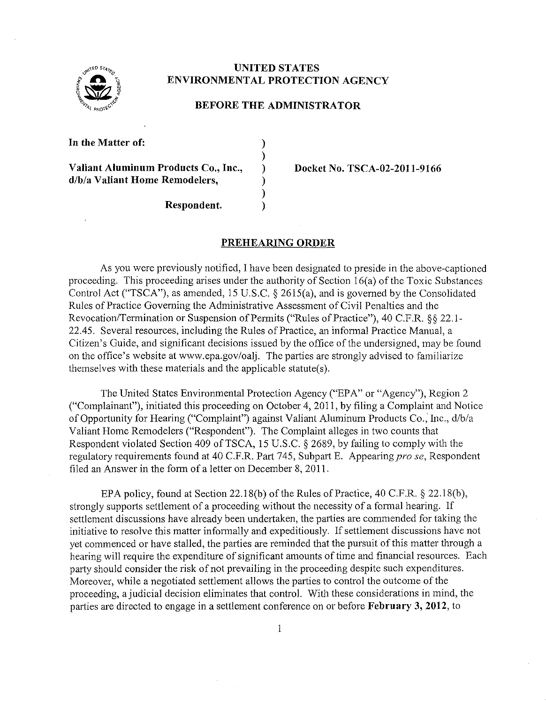

## **UNITED STATES ENVIRONMENTAL PROTECTION AGENCY**

#### **BEFORE THE ADMINISTRATOR**

) ) ) ) ) )

**In the Matter of:** 

**Valiant Aluminum Products Co., Iuc., d/b/a Valiant Home Remodelers,** 

**Docket No. TSCA-02-2011-9166** 

**Respondent.** 

## **PREHEARING ORDER**

As you were previously notified, I have been designated to preside in the above-captioned proceeding. This proceeding arises under the authority of Section 16(a) of the Toxic Substances Control Act ("TSCA"), as amended, 15 U.S.C. § 2615(a), and is governed by the Consolidated Rules of Practice Governing the Administrative Assessment of Civil Penalties and the Revocation/Termination or Suspension of Permits ("Rules of Practice"), 40 C.F.R. §§ 22.1-22.45. Several resources, including the Rules of Practice, an informal Practice Manual, a Citizen's Guide, and significant decisions issued by the office of the undersigned, may be found on the office's website at www.epa.gov/oalj. The parties are strongly advised to familiarize themselves with these materials and the applicable statute(s).

The United States Environmental Protection Agency ("EPA" or "Agency"), Region 2 ("Complainant"), initiated this proceeding on October 4, 2011, by filing a Complaint and Notice of Opportunity for Hearing ("Complaint") against Valiant Aluminum Products Co., Inc., d/b/a Valiant Home Remodelers ("Respondent"). The Complaint alleges in two counts that Respondent violated Section 409 of TSCA, 15 U.S.C.  $\S$  2689, by failing to comply with the regulatory requirements found at 40 C.F.R. Part 745, Subpart E. Appearing *pro se*, Respondent filed an Answer in the form of a letter on December 8, 2011.

EPA policy, found at Section 22.18(b) of the Rules of Practice, 40 C.P.R. § 22.18(b), strongly supports settlement of a proceeding without the necessity of a formal hearing. If settlement discussions have already been undertaken, the parties are commended for taking the initiative to resolve this matter infonnally and expeditiously. If settlement discussions have not yet commenced or have stalled, the parties are reminded that the pursuit of this matter through a hearing will require the expenditure of significant amounts of time and financial resources. Each party should consider the risk of not prevailing in the proceeding despite such expenditures. Moreover, while a negotiated settlement allows the parties to control the outcome of the proceeding, a judicial decision eliminates that control. With these considerations in mind, the parties are directed to engage in a settlement conference on or before **February 3, 2012,** to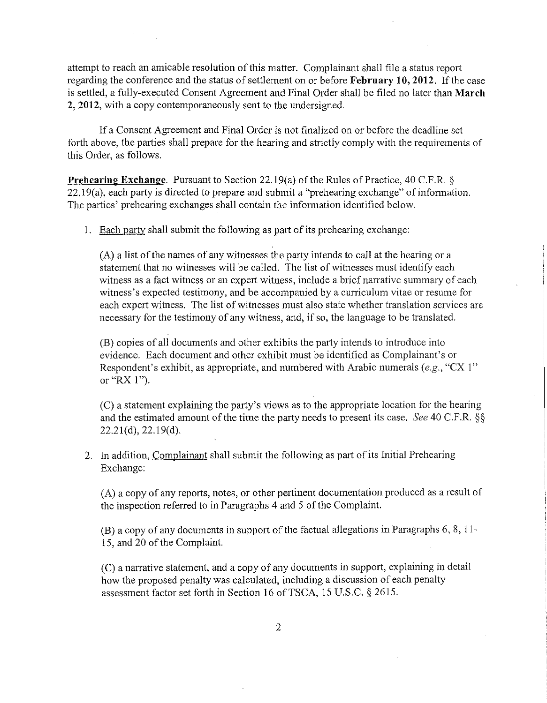attempt to reach an amicable resolution of this matter. Complainant shall file a status report regarding the conference and the status of settlement on or before **February 10, 2012.** Ifthe case is settled, a fully-executed Consent Agreement and Final Order shall be filed no later than **March 2, 2012,** with a copy contemporaneously sent to the undersigned.

If a Consent Agreement and Final Order is not finalized on or before the deadline set forth above, the parties shall prepare for the hearing and strictly comply with the requirements of this Order, as follows.

**Prehearing Exchange.** Pursuant to Section 22.19(a) of the Rules of Practice, 40 C.F.R. § 22.19(a), each party is directed to prepare and submit a "prehearing exchange" of information. The parties' prehearing exchanges shall contain the information identified below.

I. Each party shall submit the following as part of its prehearing exchange:

(A) a list of the names of any witnesses the party intends to call at the hearing or a statement that no witnesses will be called. The list of witnesses must identify each witness as a fact witness or an expert witness, include a brief narrative summary of each witness's expected testimony, and be accompanied by a curriculum vitae or resume for each expert witness. The list of witnesses must also state whether translation services are necessary for the testimony of any witness, and, if so, the language to be translated.

(B) copies of all documents and other exhibits the party intends to introduce into evidence. Each document and other exhibit must be identified as Complainant's or Respondent's exhibit, as appropriate, and numbered with Arabic numerals *(e.g.,* "CX I" or "RX I").

(C) a statement explaining the party's views as to the appropriate location for the hearing and the estimated amount of the time the party needs to present its case. *See* 40 C.F.R. §§  $22.21(d), 22.19(d).$ 

2. In addition, Complainant shall submit the following as part of its Initial Prehearing Exchange:

(A) a copy of any reports, notes, or other pertinent documentation produced as a result of the inspection referred to in Paragraphs 4 and 5 of the Complaint.

(B) a copy of any documents in support of the factual allegations in Paragraphs 6, 8, 11- 15, and 20 of the Complaint.

(C) a narrative statement, and a copy of any documents in support, explaining in detail how the proposed penalty was calculated, including a discussion of each penalty assessment factor set forth in Section 16 of TSCA, 15 U.S.C. § 2615.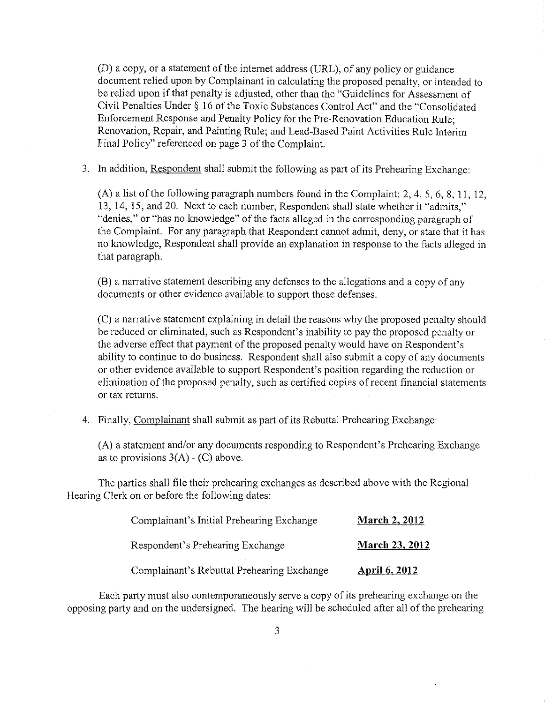(D) a copy, or a statement of the internet address (URL), of any policy or guidance document relied upon by Complainant in calculating the proposed penalty, or intended to be relied upon if that penalty is adjusted, other than the "Guidelines for Assessment of Civil Penalties Under § 16 of the Toxic Substances Control Act" and the "Consolidated Enforcement Response and Penalty Policy for the Pre-Renovation Education Rule; Renovation, Repair, and Painting Rule; and Lead-Based Paint Activities Rule Interim Final Policy" referenced on page 3 of the Complaint.

3. In addition, Respondent shall submit the following as part of its Prehearing Exchange:

(A) a list of the following paragraph numbers found in the Complaint: 2, 4, 5, 6, 8, 11, 12, 13, 14, 15, and 20. Next to each number, Respondent shall state whether it "admits," "denies," or "has no knowledge" of the facts alleged in the conesponding paragraph of the Complaint. For any paragraph that Respondent cannot admit, deny, or state that it has no knowledge, Respondent shall provide an explanation in response to the facts alleged in that paragraph.

(B) a narrative statement describing any defenses to the allegations and a copy of any documents or other evidence available to support those defenses.

(C) a narrative statement explaining in detail the reasons why the proposed penalty should be reduced or eliminated, such as Respondent's inability to pay the proposed penalty or the adverse effect that payment of the proposed penalty would have on Respondent's ability to continue to do business. Respondent shall also submit a copy of any documents or other evidence available to support Respondent's position regarding the reduction or elimination of the proposed penalty, such as certified copies of recent financial statements or tax returns.

4. Finally, Complainant shall submit as part of its Rebuttal Prehearing Exchange:

(A) a statement and/or any documents responding to Respondent's Prehearing Exchange as to provisions  $3(A) - (C)$  above.

The parties shall file their prehearing exchanges as described above with the Regional Hearing Clerk on or before the following dates:

| Complainant's Initial Prehearing Exchange  | <b>March 2, 2012</b> |
|--------------------------------------------|----------------------|
| Respondent's Prehearing Exchange           | March 23, 2012       |
| Complainant's Rebuttal Prehearing Exchange | <b>April 6, 2012</b> |

Each party must also contemporaneously serve a copy of its prehearing exchange on the opposing party and on the undersigned. The hearing will be scheduled after all of the prehearing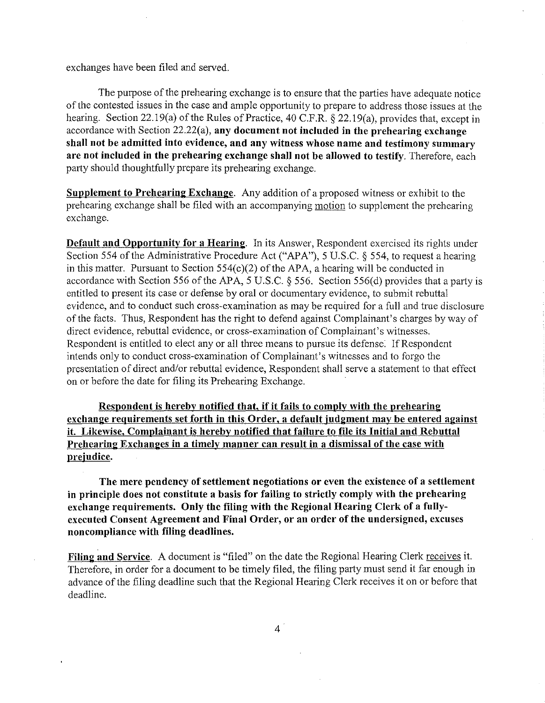exchanges have been filed and served.

The purpose of the prehearing exchange is to ensure that the parties have adequate notice of the contested issues in the case and ample opportunity to prepare to address those issues at the hearing. Section 22.19(a) of the Rules of Practice, 40 C.P.R. § 22.19(a), provides that, except in accordance with Section 22.22( a), **any document not included in the prehearing exchange shall not be admitted into evidence, and any witness whose name and testimony summary are not included in the prehearing exchange shall not be allowed to testify.** Therefore, each party should thoughtfully prepare its prehearing exchange.

**Supplement to Prehearing Exchange.** Any addition of a proposed witness or exhibit to the prehearing exchange shall be filed with an accompanying motion to supplement the prehearing exchange.

**Default and Opportunity for a Hearing.** In its Answer, Respondent exercised its rights under Section 554 of the Administrative Procedure Act ("APA"), 5 U.S.C. § 554, to request a hearing in this matter. Pursuant to Section 554(c)(2) of the APA, a hearing will be conducted in accordance with Section 556 of the APA, 5 U.S.C. § 556. Section 556(d) provides that a party is entitled to present its case or defense by oral or documentary evidence, to submit rebuttal evidence, and to conduct such cross-examination as may be required for a full and true disclosure of the facts. Thus, Respondent has the right to defend against Complainant's charges by way of direct evidence, rebuttal evidence, or cross-examination of Complainant's witnesses. Respondent is entitled to elect any or all three means to pursue its defense. If Respondent intends only to conduct cross-examination of Complainant's witnesses and to forgo the presentation of direct and/or rebuttal evidence, Respondent shall serve a statement to that effect on or before the date for filing its Prehearing Exchange.

**Respondent is hereby notified that, if it fails to comply with the prehearing exchange requirements set forth in this Order, a default judgment may be entered against it. Likewise, Complainant is hereby notified that failure to file its Initial and Rebuttal Prehearing Exchanges in a timely manner can result in a dismissal of the case with prejudice.** 

**The mere pendency of settlement negotiations or even the existence of a settlement in principle does not constitute a basis for failing to strictly comply with the prehearing exchange requirements. Only the filing with the Regional Hearing Clerk of a fullyexecuted Consent Agreement and Final Order, or an order of the undersigned, excuses noncompliance with filing deadlines.** 

Filing and Service. A document is "filed" on the date the Regional Hearing Clerk receives it. Therefore, in order for a document to be timely filed, the filing party must send it far enough in advance of the filing deadline such that the Regional Hearing Clerk receives it on or before that deadline.

4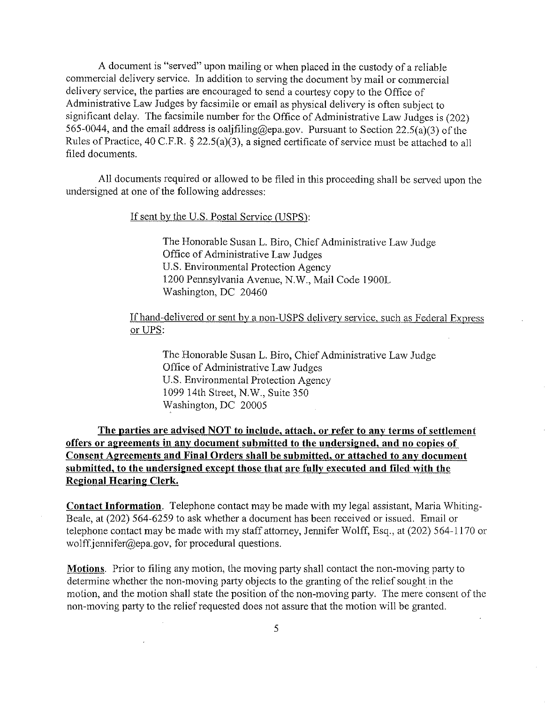A document is "served" upon mailing or when placed in the custody of a reliable commercial delivery service. In addition to serving the document by mail or commercial delivery service, the parties are encouraged to send a comtesy copy to the Office of Administrative Law Judges by facsimile or email as physical delivery is often subject to significant delay. The facsimile number for the Office of Administrative Law Judges is (202) 565-0044, and the email address is oalifiling@epa.gov. Pursuant to Section 22.5(a)(3) of the Rules of Practice, 40 C.P.R.§ 22.5(a)(3), a signed certificate of service must be attached to all filed documents.

All documents required or allowed to be filed in this proceeding shall be served upon the undersigned at one of the following addresses:

If sent by the U.S. Postal Service (USPS):

The Honorable Susan L. Biro, Chief Administrative Law Judge Office of Administrative Law Judges U.S. Environmental Protection Agency 1200 Pennsylvania Avenue, N.W., Mail Code 1900L Washington, DC 20460

### If hand-delivered or sent by a non-USPS delivery service, such as Federal Express or UPS:

The Honorable Susan L. Biro, Chief Administrative Law Judge Office of Administrative Law Judges U.S. Environmental Protection Agency 1099 14th Street, N.W., Suite 350 Washington, DC 20005

**The parties are advised NOT to include, attach, or refer to any terms of settlement offers or agreements in any document submitted to the undersigned, and no copies of Consent Agreements and Final Orders shall be submitted, or attached to any document submitted, to the undersigned except those that are fully executed and filed with the Regional Hearing Clerk.** 

**Contact Information.** Telephone contact may be made with my legal assistant, Maria Whiting-Beale, at (202) 564-6259 to ask whether a document has been received or issued. Email or telephone contact may be made with my staff attorney, Jennifer Wolff, Esq., at (202) 564-1170 or wolff.jennifer@epa.gov, for procedural questions.

**Motions.** Prior to filing any motion, the moving party shall contact the non-moving party to determine whether the non-moving party objects to the granting of the relief sought in the motion, and the motion shall state the position of the non-moving party. The mere consent of the non-moving party to the relief requested does not assure that the motion will be granted.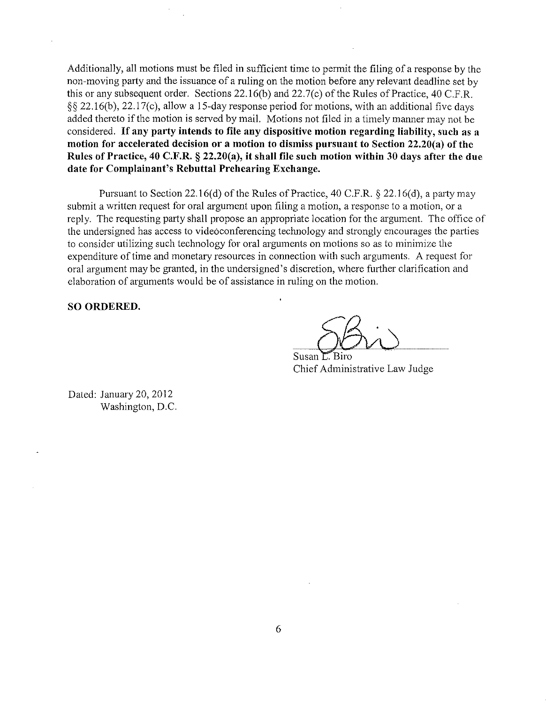Additionally, all motions must be filed in sufficient time to permit the filing of a response by the non-moving party and the issuance of a ruling on the motion before any relevant deadline set by this or any subsequent order. Sections 22.16(b) and 22.7(c) of the Rules of Practice, 40 C.F.R. §§ 22.16(b), 22.17(c), allow a 15-day response period for motions, with an additional five days added thereto if the motion is served by mail. Motions not filed in a timely manner may not be considered. If **any party intends to file any dispositive motion regarding liability, such as a motion for accelerated decision or a motion to dismiss pursuant to Section 22.20(a) of the Rules of Pmctice, 40 C.F.R. § 22.20(a), it shall file such motion within 30 days after the due date for Complainant's Rebuttal Prehearing Exchange.** 

Pursuant to Section 22.16(d) of the Rules of Practice, 40 C.F.R.  $\S$  22.16(d), a party may submit a written request for oral argument upon filing a motion, a response to a motion, or a reply. The requesting party shall propose an appropriate location for the argument. The office of the undersigned has access to videoconferencing technology and strongly encourages the parties to consider utilizing such technology for oral arguments on motions so as to minimize the expenditure of time and monetary resources in connection with such arguments. A request for oral argument may be granted, in the undersigned's discretion, where further clarification and elaboration of arguments would be of assistance in ruling on the motion.

**SO ORDERED.** 

Susan L. Biro Chief Administrative Law Judge

Dated: January 20, 2012 Washington, D.C.